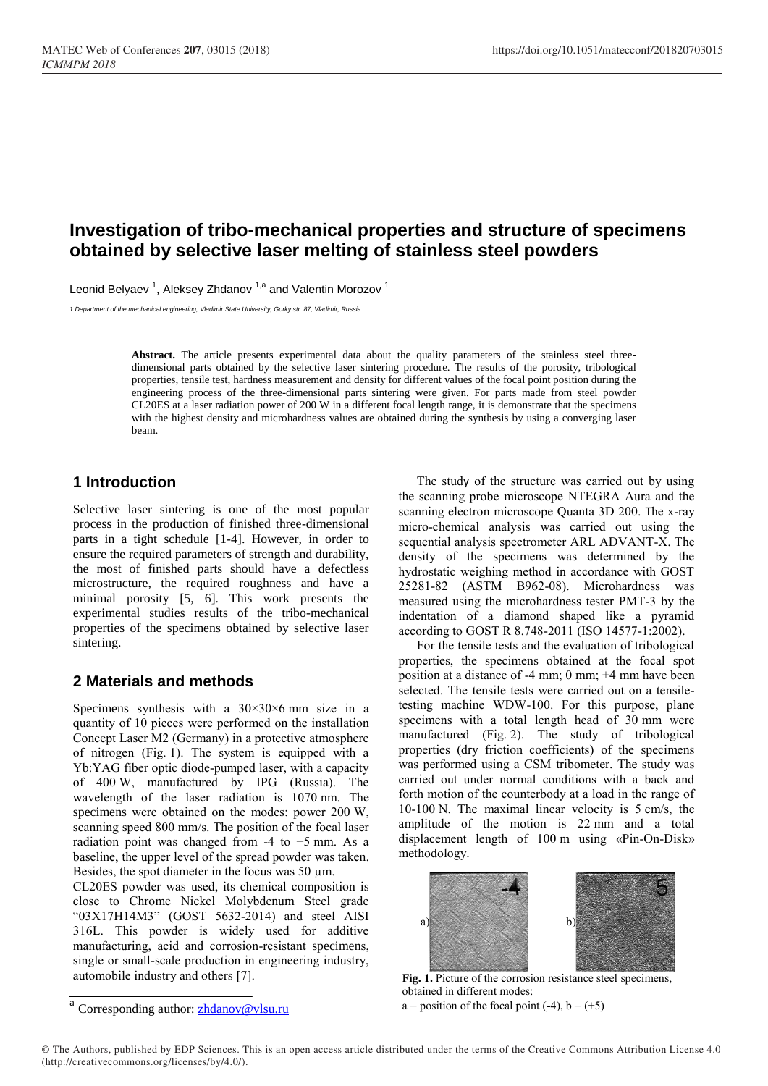# **Investigation of tribo-mechanical properties and structure of specimens obtained by selective laser melting of stainless steel powders**

Leonid Belyaev<sup>1</sup>, Aleksey Zhdanov<sup>1,a</sup> and Valentin Morozov<sup>1</sup>

*1 Department of the mechanical engineering, Vladimir State University, Gorky str. 87, Vladimir, Russia*

**Abstract.** The article presents experimental data about the quality parameters of the stainless steel threedimensional parts obtained by the selective laser sintering procedure. The results of the porosity, tribological properties, tensile test, hardness measurement and density for different values of the focal point position during the engineering process of the three-dimensional parts sintering were given. For parts made from steel powder CL20ES at a laser radiation power of 200 W in a different focal length range, it is demonstrate that the specimens with the highest density and microhardness values are obtained during the synthesis by using a converging laser beam.

## **1 Introduction**

Selective laser sintering is one of the most popular process in the production of finished three-dimensional parts in a tight schedule [1-4]. However, in order to ensure the required parameters of strength and durability, the most of finished parts should have a defectless microstructure, the required roughness and have a minimal porosity [5, 6]. This work presents the experimental studies results of the tribo-mechanical properties of the specimens obtained by selective laser sintering.

#### **2 Materials and methods**

Specimens synthesis with a  $30 \times 30 \times 6$  mm size in a quantity of 10 pieces were performed on the installation Concept Laser M2 (Germany) in a protective atmosphere of nitrogen (Fig. 1). The system is equipped with a Yb:YAG fiber optic diode-pumped laser, with a capacity of 400 W, manufactured by IPG (Russia). The wavelength of the laser radiation is 1070 nm. The specimens were obtained on the modes: power 200 W, scanning speed 800 mm/s. The position of the focal laser radiation point was changed from  $-4$  to  $+5$  mm. As a baseline, the upper level of the spread powder was taken. Besides, the spot diameter in the focus was 50 µm.

CL20ES powder was used, its chemical composition is close to Chrome Nickel Molybdenum Steel grade "03Х17Н14М3" (GOST 5632-2014) and steel AISI 316L. This powder is widely used for additive manufacturing, acid and corrosion-resistant specimens, single or small-scale production in engineering industry, automobile industry and others [7].

The study of the structure was carried out by using the scanning probe microscope NTEGRA Aura and the scanning electron microscope Quanta 3D 200. The x-ray micro-chemical analysis was carried out using the sequential analysis spectrometer ARL ADVANT-X. The density of the specimens was determined by the hydrostatic weighing method in accordance with GOST 25281-82 (ASTM B962-08). Microhardness was measured using the microhardness tester PMT-3 by the indentation of a diamond shaped like a pyramid according to GOST R 8.748-2011 (ISO 14577-1:2002).

For the tensile tests and the evaluation of tribological properties, the specimens obtained at the focal spot position at a distance of -4 mm; 0 mm; +4 mm have been selected. The tensile tests were carried out on a tensiletesting machine WDW-100. For this purpose, plane specimens with a total length head of 30 mm were manufactured (Fig. 2). The study of tribological properties (dry friction coefficients) of the specimens was performed using a CSM tribometer. The study was carried out under normal conditions with a back and forth motion of the counterbody at a load in the range of 10-100 N. The maximal linear velocity is 5 cm/s, the amplitude of the motion is 22 mm and a total displacement length of 100 m using «Pin-On-Disk» methodology.



**Fig. 1.** Picture of the corrosion resistance steel specimens, obtained in different modes:

a – position of the focal point  $(-4)$ ,  $b - (+5)$ 

<sup>&</sup>lt;sup>a</sup> Corresponding author: **zhdanov@vlsu.ru**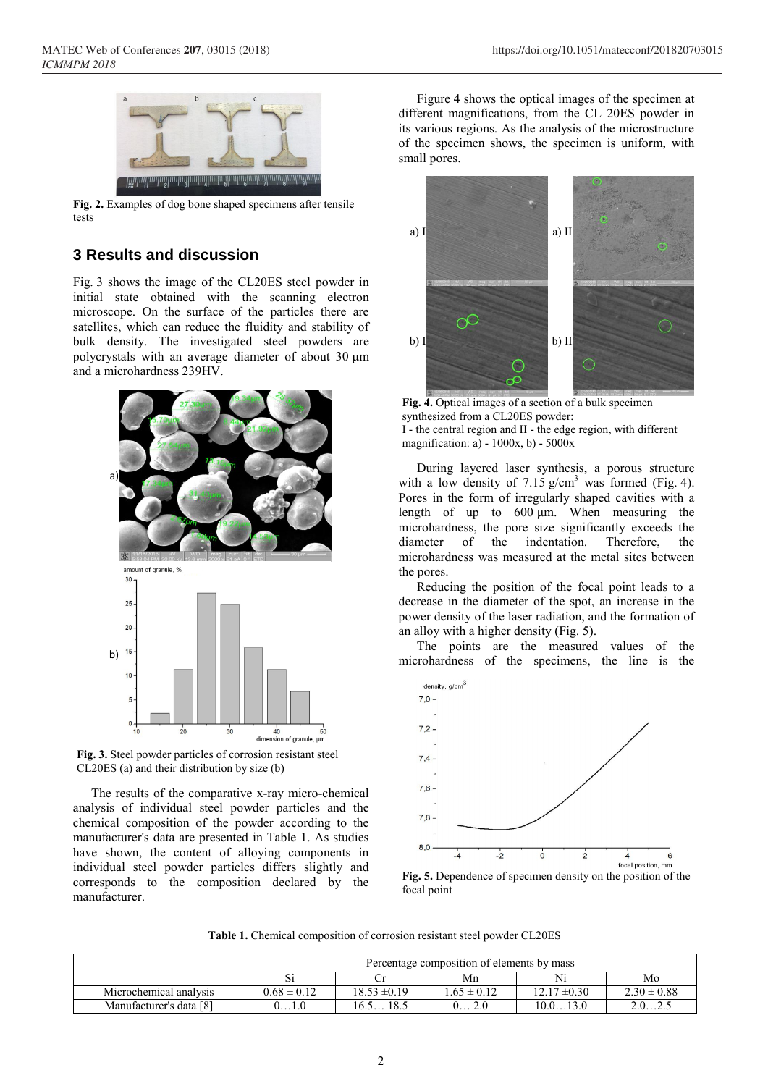

**Fig. 2.** Examples of dog bone shaped specimens after tensile tests

### **3 Results and discussion**

Fig. 3 shows the image of the CL20ES steel powder in initial state obtained with the scanning electron microscope. On the surface of the particles there are satellites, which can reduce the fluidity and stability of bulk density. The investigated steel powders are polycrystals with an average diameter of about 30 μm and a microhardness 239HV.



**Fig. 3.** Steel powder particles of corrosion resistant steel CL20ES (a) and their distribution by size (b)

The results of the comparative x-ray micro-chemical analysis of individual steel powder particles and the chemical composition of the powder according to the manufacturer's data are presented in Table 1. As studies have shown, the content of alloying components in individual steel powder particles differs slightly and corresponds to the composition declared by the manufacturer.

Figure 4 shows the optical images of the specimen at different magnifications, from the CL 20ES powder in its various regions. As the analysis of the microstructure of the specimen shows, the specimen is uniform, with small pores.



**Fig. 4.** Optical images of a section of a bulk specimen synthesized from a CL20ES powder: I - the central region and II - the edge region, with different magnification: a) - 1000x, b) - 5000x

During layered laser synthesis, a porous structure with a low density of  $7.15$  g/cm<sup>3</sup> was formed (Fig. 4). Pores in the form of irregularly shaped cavities with a length of up to 600 μm. When measuring the microhardness, the pore size significantly exceeds the diameter of the indentation. Therefore, the microhardness was measured at the metal sites between the pores.

Reducing the position of the focal point leads to a decrease in the diameter of the spot, an increase in the power density of the laser radiation, and the formation of an alloy with a higher density (Fig. 5).

The points are the measured values of the microhardness of the specimens, the line is the



**Fig. 5.** Dependence of specimen density on the position of the focal point

**Table 1.** Chemical composition of corrosion resistant steel powder CL20ES

|                         | Percentage composition of elements by mass |                  |                 |                  |                 |  |
|-------------------------|--------------------------------------------|------------------|-----------------|------------------|-----------------|--|
|                         |                                            |                  | Mn              |                  | Mo              |  |
| Microchemical analysis  | $0.68 \pm 0.12$                            | $18.53 \pm 0.19$ | $1.65 \pm 0.12$ | $12.17 \pm 0.30$ | $2.30 \pm 0.88$ |  |
| Manufacturer's data [8] |                                            | 18.5<br>16.5     |                 | 10.0.<br>13 O    |                 |  |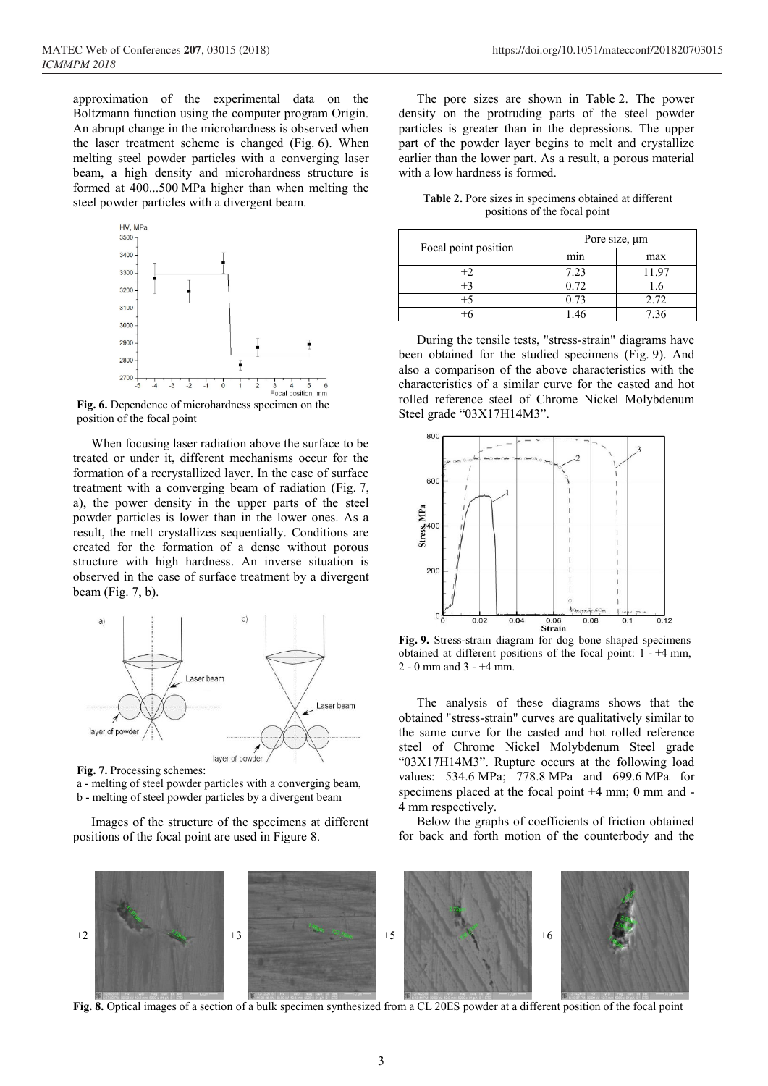approximation of the experimental data on the Boltzmann function using the computer program Origin. An abrupt change in the microhardness is observed when the laser treatment scheme is changed (Fig. 6). When melting steel powder particles with a converging laser beam, a high density and microhardness structure is formed at 400...500 MPa higher than when melting the steel powder particles with a divergent beam.



position of the focal point

When focusing laser radiation above the surface to be treated or under it, different mechanisms occur for the formation of a recrystallized layer. In the case of surface treatment with a converging beam of radiation (Fig. 7, a), the power density in the upper parts of the steel powder particles is lower than in the lower ones. As a result, the melt crystallizes sequentially. Conditions are created for the formation of a dense without porous structure with high hardness. An inverse situation is observed in the case of surface treatment by a divergent beam (Fig. 7, b).



**Fig. 7.** Processing schemes:

a - melting of steel powder particles with a converging beam, b - melting of steel powder particles by a divergent beam

Images of the structure of the specimens at different positions of the focal point are used in Figure 8.

The pore sizes are shown in Table 2. The power density on the protruding parts of the steel powder particles is greater than in the depressions. The upper part of the powder layer begins to melt and crystallize earlier than the lower part. As a result, a porous material with a low hardness is formed.

**Table 2.** Pore sizes in specimens obtained at different positions of the focal point

| Focal point position | Pore size, $\mu$ m |     |  |
|----------------------|--------------------|-----|--|
|                      | mın                | max |  |
|                      | 7.23               |     |  |
|                      | 0.72               |     |  |
|                      |                    |     |  |
|                      |                    |     |  |

During the tensile tests, "stress-strain" diagrams have been obtained for the studied specimens (Fig. 9). And also a comparison of the above characteristics with the characteristics of a similar curve for the casted and hot rolled reference steel of Chrome Nickel Molybdenum Steel grade "03Х17Н14М3".



**Fig. 9.** Stress-strain diagram for dog bone shaped specimens obtained at different positions of the focal point: 1 - +4 mm, 2 - 0 mm and 3 -  $+4$  mm.

The analysis of these diagrams shows that the obtained "stress-strain" curves are qualitatively similar to the same curve for the casted and hot rolled reference steel of Chrome Nickel Molybdenum Steel grade "03Х17Н14М3". Rupture occurs at the following load values: 534.6 MPa; 778.8 MPa and 699.6 MPa for specimens placed at the focal point +4 mm; 0 mm and - 4 mm respectively.

Below the graphs of coefficients of friction obtained for back and forth motion of the counterbody and the



**Fig. 8.** Optical images of a section of a bulk specimen synthesized from a CL 20ES powder at a different position of the focal point